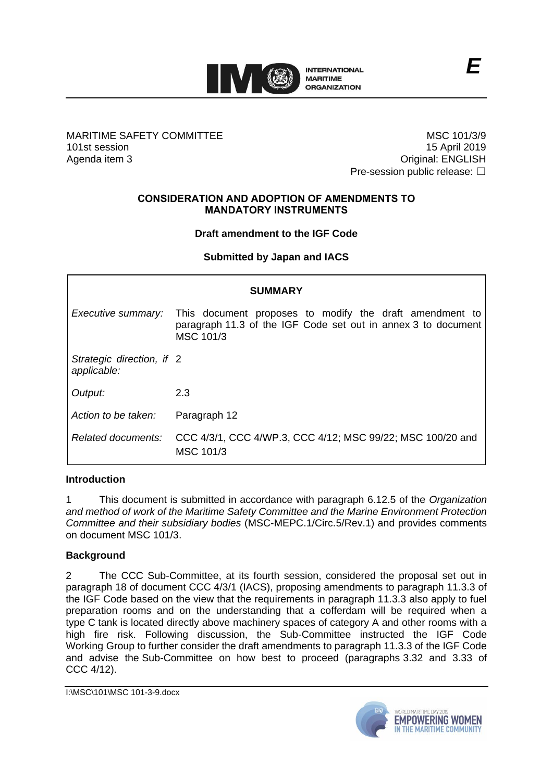

## MARITIME SAFETY COMMITTEE 101st session Agenda item 3

MSC 101/3/9 15 April 2019 Original: ENGLISH Pre-session public release: □

#### **CONSIDERATION AND ADOPTION OF AMENDMENTS TO MANDATORY INSTRUMENTS**

# **Draft amendment to the IGF Code**

# **Submitted by Japan and IACS**

| <b>SUMMARY</b>                           |                                                                                                                                       |
|------------------------------------------|---------------------------------------------------------------------------------------------------------------------------------------|
| Executive summary:                       | This document proposes to modify the draft amendment to<br>paragraph 11.3 of the IGF Code set out in annex 3 to document<br>MSC 101/3 |
| Strategic direction, if 2<br>applicable: |                                                                                                                                       |
| Output:                                  | 2.3                                                                                                                                   |
| Action to be taken:                      | Paragraph 12                                                                                                                          |
| Related documents:                       | CCC 4/3/1, CCC 4/WP.3, CCC 4/12; MSC 99/22; MSC 100/20 and<br>MSC 101/3                                                               |

### **Introduction**

1 This document is submitted in accordance with paragraph 6.12.5 of the *Organization and method of work of the Maritime Safety Committee and the Marine Environment Protection Committee and their subsidiary bodies* (MSC-MEPC.1/Circ.5/Rev.1) and provides comments on document MSC 101/3.

### **Background**

2 The CCC Sub-Committee, at its fourth session, considered the proposal set out in paragraph 18 of document CCC 4/3/1 (IACS), proposing amendments to paragraph 11.3.3 of the IGF Code based on the view that the requirements in paragraph 11.3.3 also apply to fuel preparation rooms and on the understanding that a cofferdam will be required when a type C tank is located directly above machinery spaces of category A and other rooms with a high fire risk. Following discussion, the Sub-Committee instructed the IGF Code Working Group to further consider the draft amendments to paragraph 11.3.3 of the IGF Code and advise the Sub-Committee on how best to proceed (paragraphs 3.32 and 3.33 of CCC 4/12).

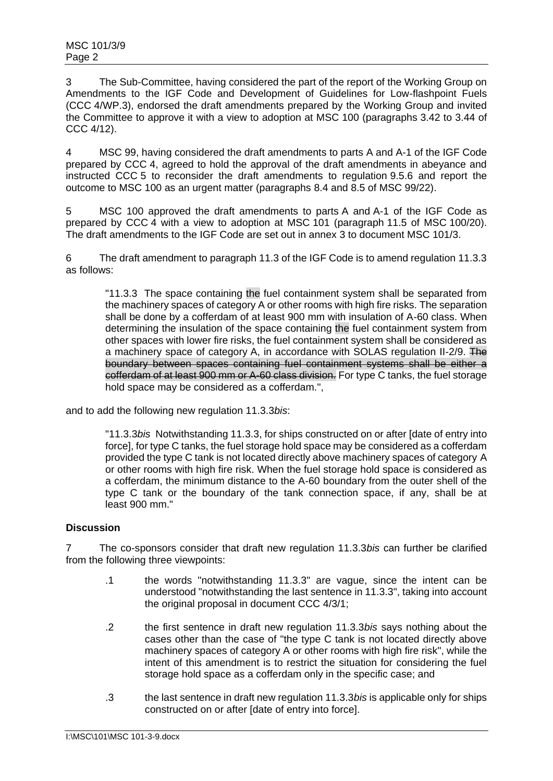3 The Sub-Committee, having considered the part of the report of the Working Group on Amendments to the IGF Code and Development of Guidelines for Low-flashpoint Fuels (CCC 4/WP.3), endorsed the draft amendments prepared by the Working Group and invited the Committee to approve it with a view to adoption at MSC 100 (paragraphs 3.42 to 3.44 of CCC 4/12).

4 MSC 99, having considered the draft amendments to parts A and A-1 of the IGF Code prepared by CCC 4, agreed to hold the approval of the draft amendments in abeyance and instructed CCC 5 to reconsider the draft amendments to regulation 9.5.6 and report the outcome to MSC 100 as an urgent matter (paragraphs 8.4 and 8.5 of MSC 99/22).

5 MSC 100 approved the draft amendments to parts A and A-1 of the IGF Code as prepared by CCC 4 with a view to adoption at MSC 101 (paragraph 11.5 of MSC 100/20). The draft amendments to the IGF Code are set out in annex 3 to document MSC 101/3.

6 The draft amendment to paragraph 11.3 of the IGF Code is to amend regulation 11.3.3 as follows:

"11.3.3 The space containing the fuel containment system shall be separated from the machinery spaces of category A or other rooms with high fire risks. The separation shall be done by a cofferdam of at least 900 mm with insulation of A-60 class. When determining the insulation of the space containing the fuel containment system from other spaces with lower fire risks, the fuel containment system shall be considered as a machinery space of category A, in accordance with SOLAS regulation II-2/9. The boundary between spaces containing fuel containment systems shall be either a cofferdam of at least 900 mm or A-60 class division. For type C tanks, the fuel storage hold space may be considered as a cofferdam.",

and to add the following new regulation 11.3.3*bis*:

"11.3.3*bis* Notwithstanding 11.3.3, for ships constructed on or after [date of entry into force], for type C tanks, the fuel storage hold space may be considered as a cofferdam provided the type C tank is not located directly above machinery spaces of category A or other rooms with high fire risk. When the fuel storage hold space is considered as a cofferdam, the minimum distance to the A-60 boundary from the outer shell of the type C tank or the boundary of the tank connection space, if any, shall be at least 900 mm."

## **Discussion**

7 The co-sponsors consider that draft new regulation 11.3.3*bis* can further be clarified from the following three viewpoints:

- .1 the words "notwithstanding 11.3.3" are vague, since the intent can be understood "notwithstanding the last sentence in 11.3.3", taking into account the original proposal in document CCC 4/3/1;
- .2 the first sentence in draft new regulation 11.3.3*bis* says nothing about the cases other than the case of "the type C tank is not located directly above machinery spaces of category A or other rooms with high fire risk", while the intent of this amendment is to restrict the situation for considering the fuel storage hold space as a cofferdam only in the specific case; and
- .3 the last sentence in draft new regulation 11.3.3*bis* is applicable only for ships constructed on or after [date of entry into force].